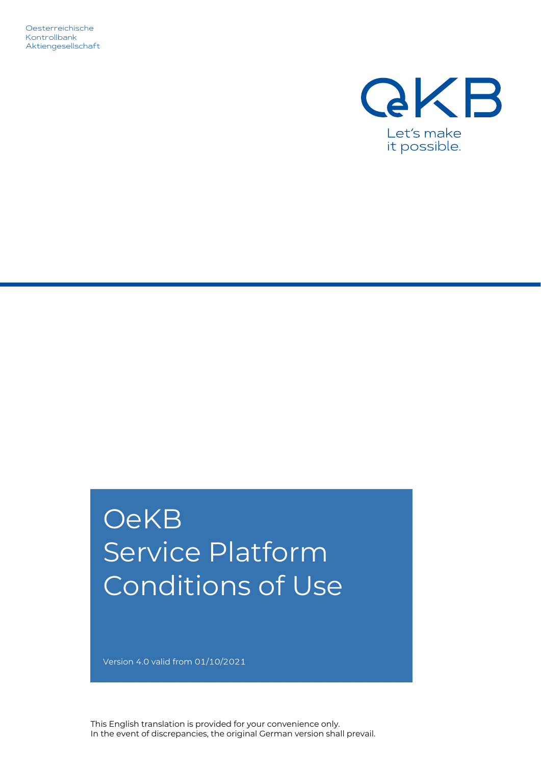Oesterreichische Kontrollbank Aktiengesellschaft



# **OeKB** Service Platform Conditions of Use

Version 4.0 valid from 01/10/2021

This English translation is provided for your convenience only. In the event of discrepancies, the original German version shall prevail.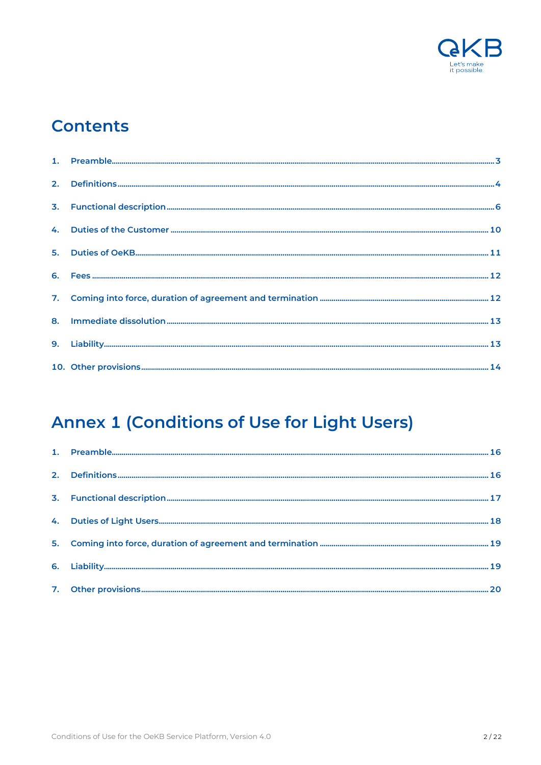

# **Contents**

# **Annex 1 (Conditions of Use for Light Users)**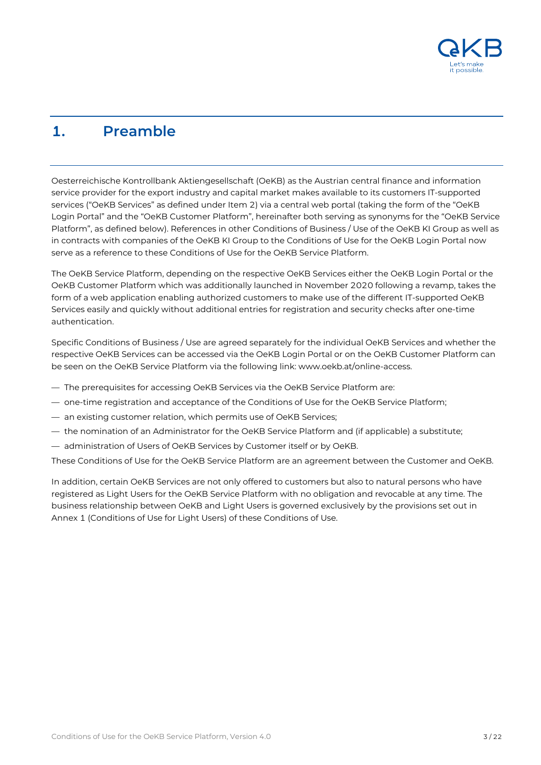

# <span id="page-2-0"></span>**1. Preamble**

Oesterreichische Kontrollbank Aktiengesellschaft (OeKB) as the Austrian central finance and information service provider for the export industry and capital market makes available to its customers IT-supported services ("OeKB Services" as defined under Item 2) via a central web portal (taking the form of the "OeKB Login Portal" and the "OeKB Customer Platform", hereinafter both serving as synonyms for the "OeKB Service Platform", as defined below). References in other Conditions of Business / Use of the OeKB KI Group as well as in contracts with companies of the OeKB KI Group to the Conditions of Use for the OeKB Login Portal now serve as a reference to these Conditions of Use for the OeKB Service Platform.

The OeKB Service Platform, depending on the respective OeKB Services either the OeKB Login Portal or the OeKB Customer Platform which was additionally launched in November 2020 following a revamp, takes the form of a web application enabling authorized customers to make use of the different IT-supported OeKB Services easily and quickly without additional entries for registration and security checks after one-time authentication.

Specific Conditions of Business / Use are agreed separately for the individual OeKB Services and whether the respective OeKB Services can be accessed via the OeKB Login Portal or on the OeKB Customer Platform can be seen on the OeKB Service Platform via the following link: www.oekb.at/online-access.

- The prerequisites for accessing OeKB Services via the OeKB Service Platform are:
- one-time registration and acceptance of the Conditions of Use for the OeKB Service Platform;
- an existing customer relation, which permits use of OeKB Services;
- the nomination of an Administrator for the OeKB Service Platform and (if applicable) a substitute;
- administration of Users of OeKB Services by Customer itself or by OeKB.

These Conditions of Use for the OeKB Service Platform are an agreement between the Customer and OeKB.

In addition, certain OeKB Services are not only offered to customers but also to natural persons who have registered as Light Users for the OeKB Service Platform with no obligation and revocable at any time. The business relationship between OeKB and Light Users is governed exclusively by the provisions set out in Annex 1 (Conditions of Use for Light Users) of these Conditions of Use.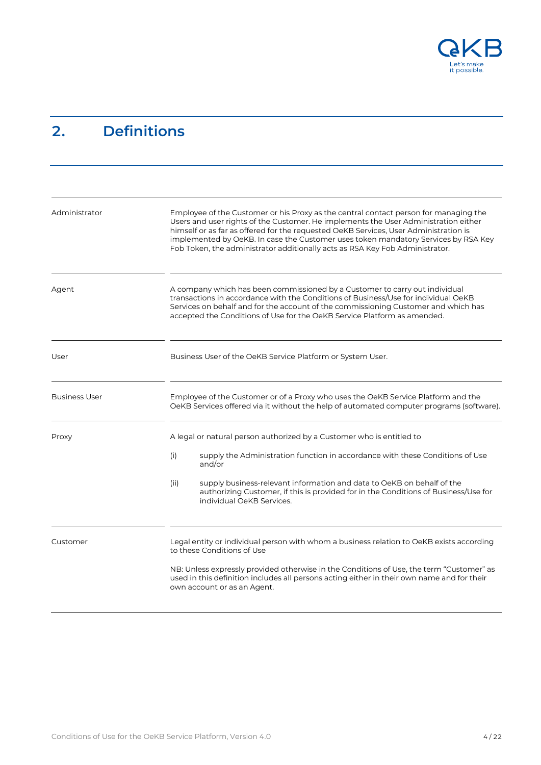

# <span id="page-3-0"></span>**2. Definitions**

| Administrator        | Employee of the Customer or his Proxy as the central contact person for managing the<br>Users and user rights of the Customer. He implements the User Administration either<br>himself or as far as offered for the requested OeKB Services, User Administration is<br>implemented by OeKB. In case the Customer uses token mandatory Services by RSA Key<br>Fob Token, the administrator additionally acts as RSA Key Fob Administrator. |
|----------------------|-------------------------------------------------------------------------------------------------------------------------------------------------------------------------------------------------------------------------------------------------------------------------------------------------------------------------------------------------------------------------------------------------------------------------------------------|
| Agent                | A company which has been commissioned by a Customer to carry out individual<br>transactions in accordance with the Conditions of Business/Use for individual OeKB<br>Services on behalf and for the account of the commissioning Customer and which has<br>accepted the Conditions of Use for the OeKB Service Platform as amended.                                                                                                       |
| User                 | Business User of the OeKB Service Platform or System User.                                                                                                                                                                                                                                                                                                                                                                                |
| <b>Business User</b> | Employee of the Customer or of a Proxy who uses the OeKB Service Platform and the<br>OeKB Services offered via it without the help of automated computer programs (software).                                                                                                                                                                                                                                                             |
| Proxy                | A legal or natural person authorized by a Customer who is entitled to<br>(i)<br>supply the Administration function in accordance with these Conditions of Use<br>and/or<br>supply business-relevant information and data to OeKB on behalf of the<br>(ii)<br>authorizing Customer, if this is provided for in the Conditions of Business/Use for<br>individual OeKB Services.                                                             |
| Customer             | Legal entity or individual person with whom a business relation to OeKB exists according<br>to these Conditions of Use<br>NB: Unless expressly provided otherwise in the Conditions of Use, the term "Customer" as<br>used in this definition includes all persons acting either in their own name and for their<br>own account or as an Agent.                                                                                           |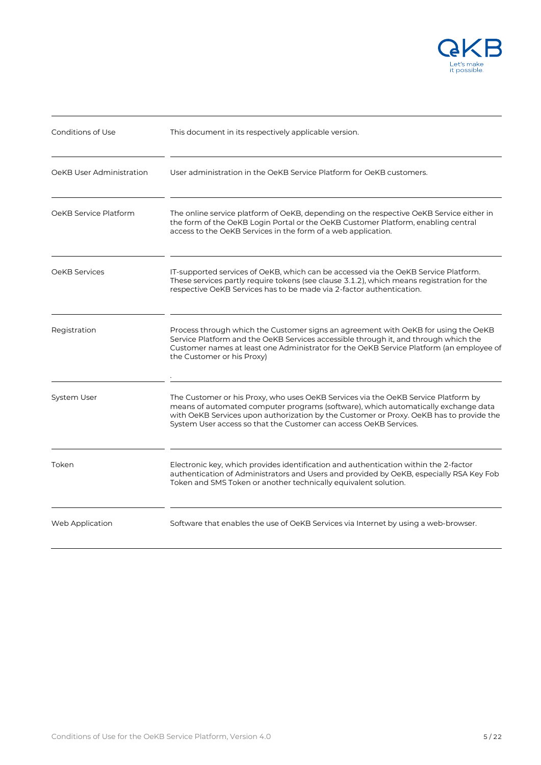

| Conditions of Use        | This document in its respectively applicable version.                                                                                                                                                                                                                                                                                    |
|--------------------------|------------------------------------------------------------------------------------------------------------------------------------------------------------------------------------------------------------------------------------------------------------------------------------------------------------------------------------------|
| OeKB User Administration | User administration in the OeKB Service Platform for OeKB customers.                                                                                                                                                                                                                                                                     |
| OeKB Service Platform    | The online service platform of OeKB, depending on the respective OeKB Service either in<br>the form of the OeKB Login Portal or the OeKB Customer Platform, enabling central<br>access to the OeKB Services in the form of a web application.                                                                                            |
| OeKB Services            | IT-supported services of OeKB, which can be accessed via the OeKB Service Platform.<br>These services partly require tokens (see clause 3.1.2), which means registration for the<br>respective OeKB Services has to be made via 2-factor authentication.                                                                                 |
| Registration             | Process through which the Customer signs an agreement with OeKB for using the OeKB<br>Service Platform and the OeKB Services accessible through it, and through which the<br>Customer names at least one Administrator for the OeKB Service Platform (an employee of<br>the Customer or his Proxy)                                       |
| System User              | The Customer or his Proxy, who uses OeKB Services via the OeKB Service Platform by<br>means of automated computer programs (software), which automatically exchange data<br>with OeKB Services upon authorization by the Customer or Proxy. OeKB has to provide the<br>System User access so that the Customer can access OeKB Services. |
| Token                    | Electronic key, which provides identification and authentication within the 2-factor<br>authentication of Administrators and Users and provided by OeKB, especially RSA Key Fob<br>Token and SMS Token or another technically equivalent solution.                                                                                       |
| Web Application          | Software that enables the use of OeKB Services via Internet by using a web-browser.                                                                                                                                                                                                                                                      |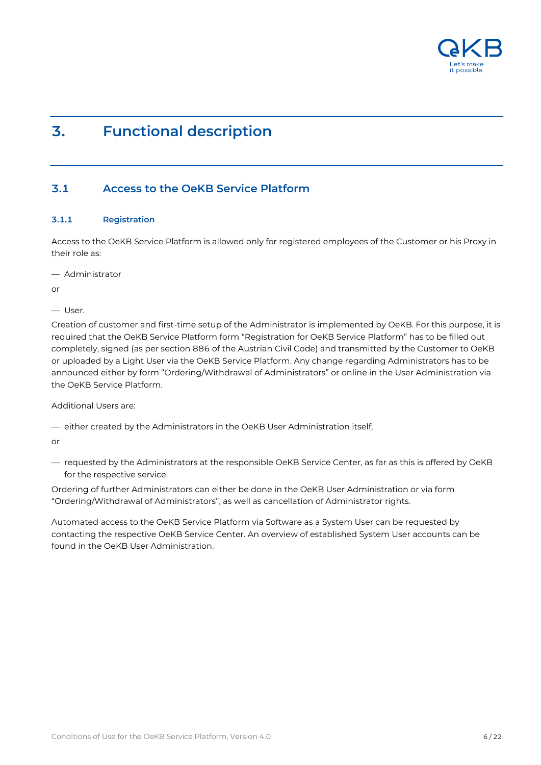

# <span id="page-5-0"></span>**3. Functional description**

### **3.1 Access to the OeKB Service Platform**

#### **3.1.1 Registration**

Access to the OeKB Service Platform is allowed only for registered employees of the Customer or his Proxy in their role as:

— Administrator

or

— User.

Creation of customer and first-time setup of the Administrator is implemented by OeKB. For this purpose, it is required that the OeKB Service Platform form "Registration for OeKB Service Platform" has to be filled out completely, signed (as per section 886 of the Austrian Civil Code) and transmitted by the Customer to OeKB or uploaded by a Light User via the OeKB Service Platform. Any change regarding Administrators has to be announced either by form "Ordering/Withdrawal of Administrators" or online in the User Administration via the OeKB Service Platform.

Additional Users are:

— either created by the Administrators in the OeKB User Administration itself,

or

— requested by the Administrators at the responsible OeKB Service Center, as far as this is offered by OeKB for the respective service.

Ordering of further Administrators can either be done in the OeKB User Administration or via form "Ordering/Withdrawal of Administrators", as well as cancellation of Administrator rights.

Automated access to the OeKB Service Platform via Software as a System User can be requested by contacting the respective OeKB Service Center. An overview of established System User accounts can be found in the OeKB User Administration.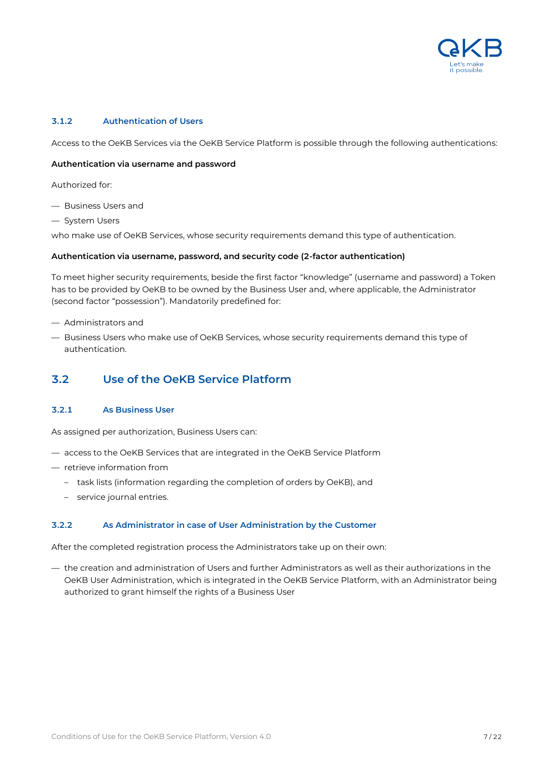

#### **3.1.2 Authentication of Users**

Access to the OeKB Services via the OeKB Service Platform is possible through the following authentications:

#### **Authentication via username and password**

Authorized for:

- Business Users and
- System Users

who make use of OeKB Services, whose security requirements demand this type of authentication.

#### **Authentication via username, password, and security code (2-factor authentication)**

To meet higher security requirements, beside the first factor "knowledge" (username and password) a Token has to be provided by OeKB to be owned by the Business User and, where applicable, the Administrator (second factor "possession"). Mandatorily predefined for:

- Administrators and
- Business Users who make use of OeKB Services, whose security requirements demand this type of authentication.

#### **3.2 Use of the OeKB Service Platform**

#### **3.2.1 As Business User**

As assigned per authorization, Business Users can:

- access to the OeKB Services that are integrated in the OeKB Service Platform
- retrieve information from
	- task lists (information regarding the completion of orders by OeKB), and
	- service journal entries.

#### **3.2.2 As Administrator in case of User Administration by the Customer**

After the completed registration process the Administrators take up on their own:

— the creation and administration of Users and further Administrators as well as their authorizations in the OeKB User Administration, which is integrated in the OeKB Service Platform, with an Administrator being authorized to grant himself the rights of a Business User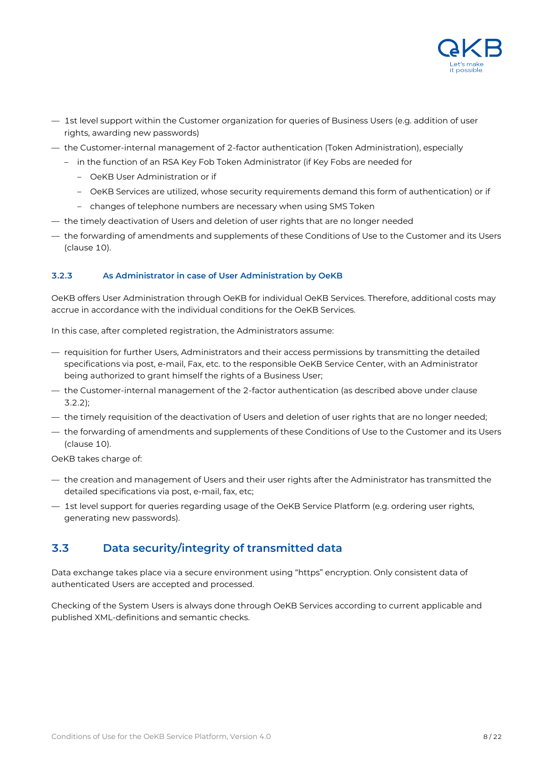

- 1st level support within the Customer organization for queries of Business Users (e.g. addition of user rights, awarding new passwords)
- the Customer-internal management of 2-factor authentication (Token Administration), especially
	- in the function of an RSA Key Fob Token Administrator (if Key Fobs are needed for
		- OeKB User Administration or if
		- OeKB Services are utilized, whose security requirements demand this form of authentication) or if
		- changes of telephone numbers are necessary when using SMS Token
- the timely deactivation of Users and deletion of user rights that are no longer needed
- the forwarding of amendments and supplements of these Conditions of Use to the Customer and its Users (clause 10).

#### **3.2.3 As Administrator in case of User Administration by OeKB**

OeKB offers User Administration through OeKB for individual OeKB Services. Therefore, additional costs may accrue in accordance with the individual conditions for the OeKB Services.

In this case, after completed registration, the Administrators assume:

- requisition for further Users, Administrators and their access permissions by transmitting the detailed specifications via post, e-mail, Fax, etc. to the responsible OeKB Service Center, with an Administrator being authorized to grant himself the rights of a Business User;
- the Customer-internal management of the 2-factor authentication (as described above under clause 3.2.2);
- the timely requisition of the deactivation of Users and deletion of user rights that are no longer needed;
- the forwarding of amendments and supplements of these Conditions of Use to the Customer and its Users (clause 10).

OeKB takes charge of:

- the creation and management of Users and their user rights after the Administrator has transmitted the detailed specifications via post, e-mail, fax, etc;
- 1st level support for queries regarding usage of the OeKB Service Platform (e.g. ordering user rights, generating new passwords).

### **3.3 Data security/integrity of transmitted data**

Data exchange takes place via a secure environment using "https" encryption. Only consistent data of authenticated Users are accepted and processed.

Checking of the System Users is always done through OeKB Services according to current applicable and published XML-definitions and semantic checks.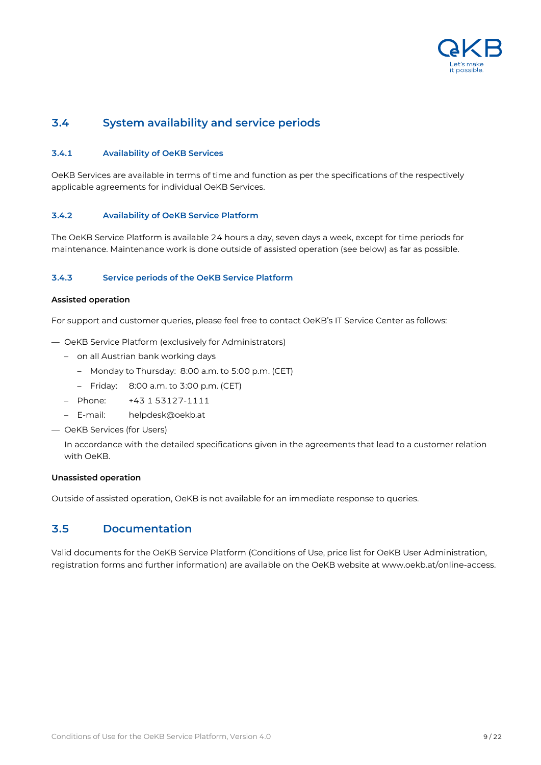

### **3.4 System availability and service periods**

#### **3.4.1 Availability of OeKB Services**

OeKB Services are available in terms of time and function as per the specifications of the respectively applicable agreements for individual OeKB Services.

#### **3.4.2 Availability of OeKB Service Platform**

The OeKB Service Platform is available 24 hours a day, seven days a week, except for time periods for maintenance. Maintenance work is done outside of assisted operation (see below) as far as possible.

#### **3.4.3 Service periods of the OeKB Service Platform**

#### **Assisted operation**

For support and customer queries, please feel free to contact OeKB's IT Service Center as follows:

- OeKB Service Platform (exclusively for Administrators)
	- on all Austrian bank working days
		- Monday to Thursday: 8:00 a.m. to 5:00 p.m. (CET)
		- Friday: 8:00 a.m. to 3:00 p.m. (CET)
	- Phone: +43 1 53127-1111
	- E-mail: helpdesk@oekb.at
- OeKB Services (for Users)

In accordance with the detailed specifications given in the agreements that lead to a customer relation with OeKB.

#### **Unassisted operation**

Outside of assisted operation, OeKB is not available for an immediate response to queries.

#### **3.5 Documentation**

Valid documents for the OeKB Service Platform (Conditions of Use, price list for OeKB User Administration, registration forms and further information) are available on the OeKB website at www.oekb.at/online-access.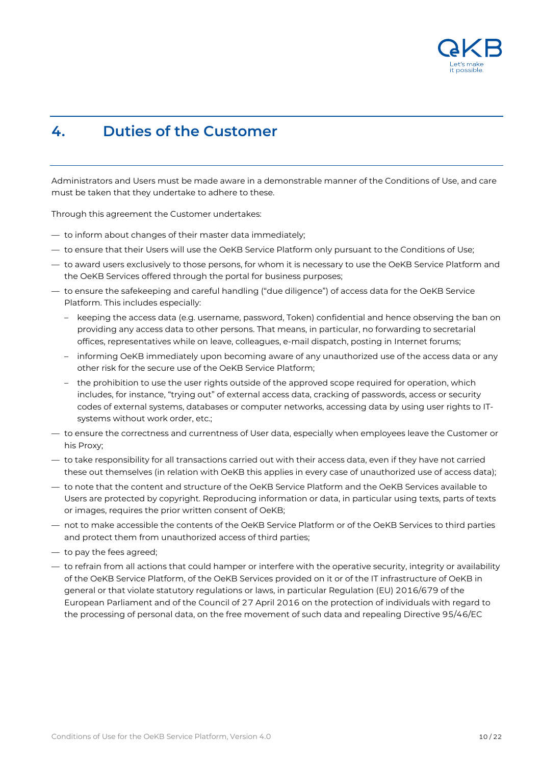

### <span id="page-9-0"></span>**4. Duties of the Customer**

Administrators and Users must be made aware in a demonstrable manner of the Conditions of Use, and care must be taken that they undertake to adhere to these.

Through this agreement the Customer undertakes:

- to inform about changes of their master data immediately;
- to ensure that their Users will use the OeKB Service Platform only pursuant to the Conditions of Use;
- to award users exclusively to those persons, for whom it is necessary to use the OeKB Service Platform and the OeKB Services offered through the portal for business purposes;
- to ensure the safekeeping and careful handling ("due diligence") of access data for the OeKB Service Platform. This includes especially:
	- keeping the access data (e.g. username, password, Token) confidential and hence observing the ban on providing any access data to other persons. That means, in particular, no forwarding to secretarial offices, representatives while on leave, colleagues, e-mail dispatch, posting in Internet forums;
	- informing OeKB immediately upon becoming aware of any unauthorized use of the access data or any other risk for the secure use of the OeKB Service Platform;
	- the prohibition to use the user rights outside of the approved scope required for operation, which includes, for instance, "trying out" of external access data, cracking of passwords, access or security codes of external systems, databases or computer networks, accessing data by using user rights to ITsystems without work order, etc.;
- to ensure the correctness and currentness of User data, especially when employees leave the Customer or his Proxy;
- to take responsibility for all transactions carried out with their access data, even if they have not carried these out themselves (in relation with OeKB this applies in every case of unauthorized use of access data);
- to note that the content and structure of the OeKB Service Platform and the OeKB Services available to Users are protected by copyright. Reproducing information or data, in particular using texts, parts of texts or images, requires the prior written consent of OeKB;
- not to make accessible the contents of the OeKB Service Platform or of the OeKB Services to third parties and protect them from unauthorized access of third parties;
- to pay the fees agreed;
- to refrain from all actions that could hamper or interfere with the operative security, integrity or availability of the OeKB Service Platform, of the OeKB Services provided on it or of the IT infrastructure of OeKB in general or that violate statutory regulations or laws, in particular Regulation (EU) 2016/679 of the European Parliament and of the Council of 27 April 2016 on the protection of individuals with regard to the processing of personal data, on the free movement of such data and repealing Directive 95/46/EC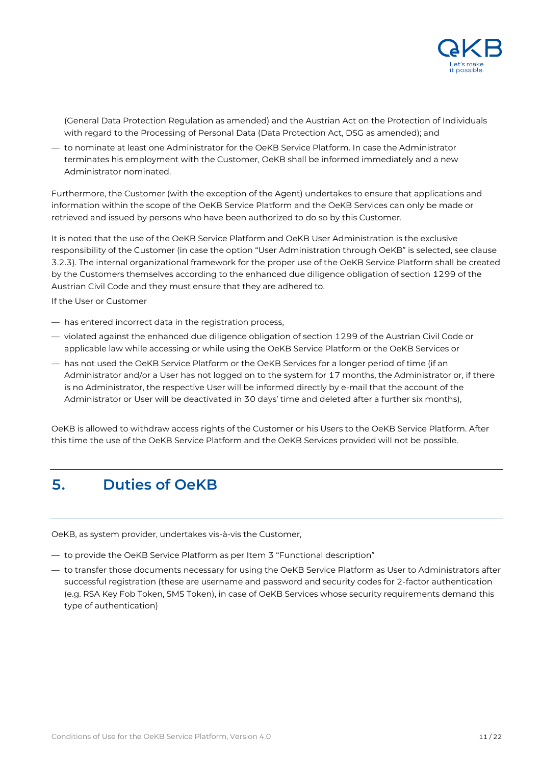

(General Data Protection Regulation as amended) and the Austrian Act on the Protection of Individuals with regard to the Processing of Personal Data (Data Protection Act, DSG as amended); and

— to nominate at least one Administrator for the OeKB Service Platform. In case the Administrator terminates his employment with the Customer, OeKB shall be informed immediately and a new Administrator nominated.

Furthermore, the Customer (with the exception of the Agent) undertakes to ensure that applications and information within the scope of the OeKB Service Platform and the OeKB Services can only be made or retrieved and issued by persons who have been authorized to do so by this Customer.

It is noted that the use of the OeKB Service Platform and OeKB User Administration is the exclusive responsibility of the Customer (in case the option "User Administration through OeKB" is selected, see clause 3.2.3). The internal organizational framework for the proper use of the OeKB Service Platform shall be created by the Customers themselves according to the enhanced due diligence obligation of section 1299 of the Austrian Civil Code and they must ensure that they are adhered to.

If the User or Customer

- has entered incorrect data in the registration process,
- violated against the enhanced due diligence obligation of section 1299 of the Austrian Civil Code or applicable law while accessing or while using the OeKB Service Platform or the OeKB Services or
- has not used the OeKB Service Platform or the OeKB Services for a longer period of time (if an Administrator and/or a User has not logged on to the system for 17 months, the Administrator or, if there is no Administrator, the respective User will be informed directly by e-mail that the account of the Administrator or User will be deactivated in 30 days' time and deleted after a further six months),

OeKB is allowed to withdraw access rights of the Customer or his Users to the OeKB Service Platform. After this time the use of the OeKB Service Platform and the OeKB Services provided will not be possible.

### <span id="page-10-0"></span>**5. Duties of OeKB**

OeKB, as system provider, undertakes vis-à-vis the Customer,

- to provide the OeKB Service Platform as per Item 3 "Functional description"
- to transfer those documents necessary for using the OeKB Service Platform as User to Administrators after successful registration (these are username and password and security codes for 2-factor authentication (e.g. RSA Key Fob Token, SMS Token), in case of OeKB Services whose security requirements demand this type of authentication)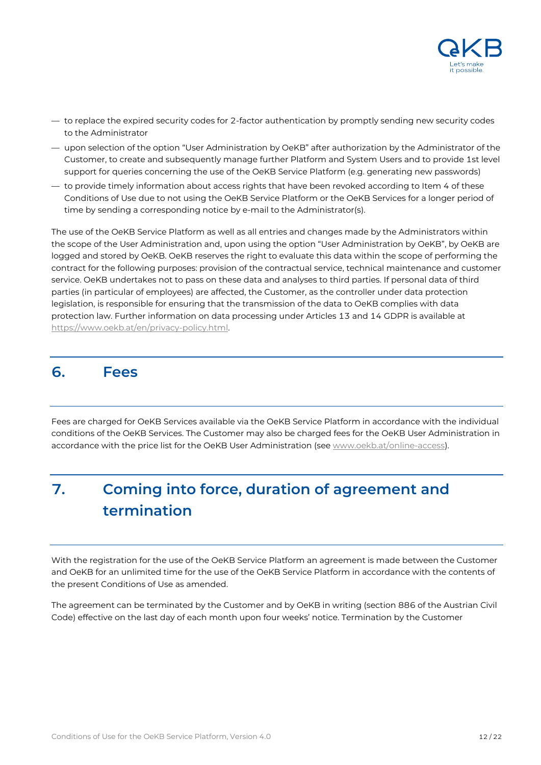

- to replace the expired security codes for 2-factor authentication by promptly sending new security codes to the Administrator
- upon selection of the option "User Administration by OeKB" after authorization by the Administrator of the Customer, to create and subsequently manage further Platform and System Users and to provide 1st level support for queries concerning the use of the OeKB Service Platform (e.g. generating new passwords)
- to provide timely information about access rights that have been revoked according to Item 4 of these Conditions of Use due to not using the OeKB Service Platform or the OeKB Services for a longer period of time by sending a corresponding notice by e-mail to the Administrator(s).

The use of the OeKB Service Platform as well as all entries and changes made by the Administrators within the scope of the User Administration and, upon using the option "User Administration by OeKB", by OeKB are logged and stored by OeKB. OeKB reserves the right to evaluate this data within the scope of performing the contract for the following purposes: provision of the contractual service, technical maintenance and customer service. OeKB undertakes not to pass on these data and analyses to third parties. If personal data of third parties (in particular of employees) are affected, the Customer, as the controller under data protection legislation, is responsible for ensuring that the transmission of the data to OeKB complies with data protection law. Further information on data processing under Articles 13 and 14 GDPR is available at [https://www.oekb.at/en/privacy-policy.html.](https://www.oekb.at/en/privacy-policy.html)

### <span id="page-11-0"></span>**6. Fees**

Fees are charged for OeKB Services available via the OeKB Service Platform in accordance with the individual conditions of the OeKB Services. The Customer may also be charged fees for the OeKB User Administration in accordance with the price list for the OeKB User Administration (se[e www.oekb.at/online-access\)](http://www.oekb.at/online-access).

# <span id="page-11-1"></span>**7. Coming into force, duration of agreement and termination**

With the registration for the use of the OeKB Service Platform an agreement is made between the Customer and OeKB for an unlimited time for the use of the OeKB Service Platform in accordance with the contents of the present Conditions of Use as amended.

The agreement can be terminated by the Customer and by OeKB in writing (section 886 of the Austrian Civil Code) effective on the last day of each month upon four weeks' notice. Termination by the Customer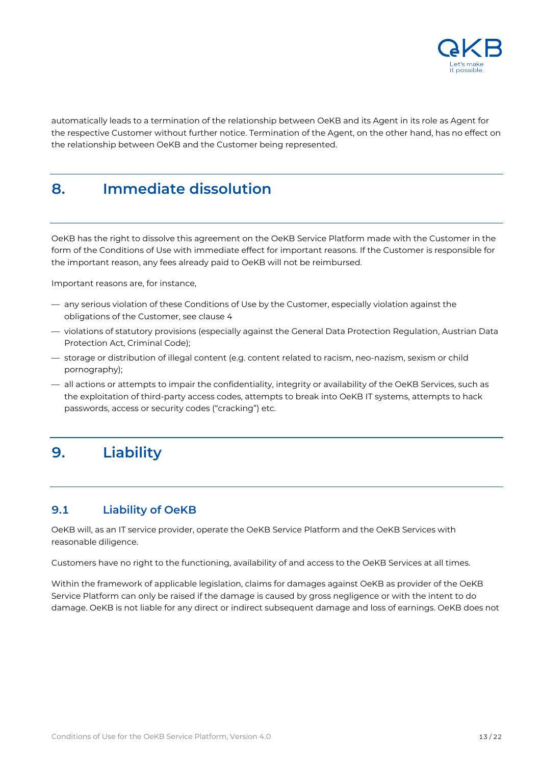

automatically leads to a termination of the relationship between OeKB and its Agent in its role as Agent for the respective Customer without further notice. Termination of the Agent, on the other hand, has no effect on the relationship between OeKB and the Customer being represented.

# <span id="page-12-0"></span>**8. Immediate dissolution**

OeKB has the right to dissolve this agreement on the OeKB Service Platform made with the Customer in the form of the Conditions of Use with immediate effect for important reasons. If the Customer is responsible for the important reason, any fees already paid to OeKB will not be reimbursed.

Important reasons are, for instance,

- any serious violation of these Conditions of Use by the Customer, especially violation against the obligations of the Customer, see clause 4
- violations of statutory provisions (especially against the General Data Protection Regulation, Austrian Data Protection Act, Criminal Code);
- storage or distribution of illegal content (e.g. content related to racism, neo-nazism, sexism or child pornography);
- all actions or attempts to impair the confidentiality, integrity or availability of the OeKB Services, such as the exploitation of third-party access codes, attempts to break into OeKB IT systems, attempts to hack passwords, access or security codes ("cracking") etc.

# <span id="page-12-1"></span>**9. Liability**

### **9.1 Liability of OeKB**

OeKB will, as an IT service provider, operate the OeKB Service Platform and the OeKB Services with reasonable diligence.

Customers have no right to the functioning, availability of and access to the OeKB Services at all times.

Within the framework of applicable legislation, claims for damages against OeKB as provider of the OeKB Service Platform can only be raised if the damage is caused by gross negligence or with the intent to do damage. OeKB is not liable for any direct or indirect subsequent damage and loss of earnings. OeKB does not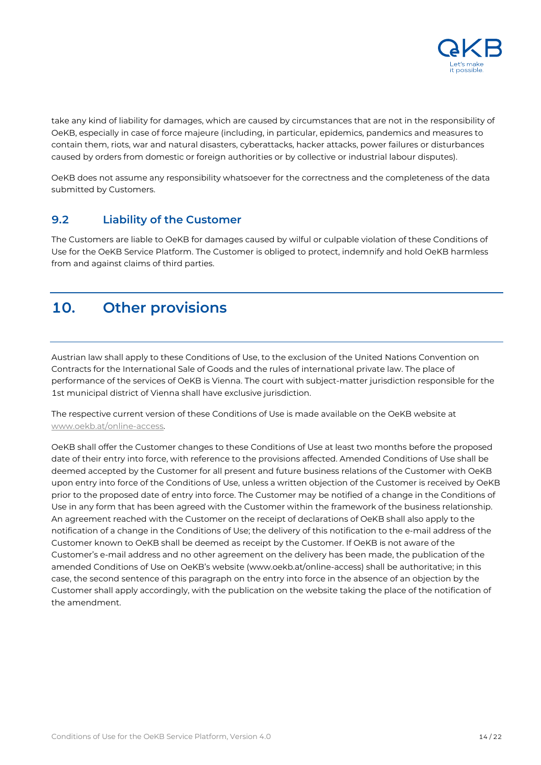

take any kind of liability for damages, which are caused by circumstances that are not in the responsibility of OeKB, especially in case of force majeure (including, in particular, epidemics, pandemics and measures to contain them, riots, war and natural disasters, cyberattacks, hacker attacks, power failures or disturbances caused by orders from domestic or foreign authorities or by collective or industrial labour disputes).

OeKB does not assume any responsibility whatsoever for the correctness and the completeness of the data submitted by Customers.

### **9.2 Liability of the Customer**

The Customers are liable to OeKB for damages caused by wilful or culpable violation of these Conditions of Use for the OeKB Service Platform. The Customer is obliged to protect, indemnify and hold OeKB harmless from and against claims of third parties.

# <span id="page-13-0"></span>**10. Other provisions**

Austrian law shall apply to these Conditions of Use, to the exclusion of the United Nations Convention on Contracts for the International Sale of Goods and the rules of international private law. The place of performance of the services of OeKB is Vienna. The court with subject-matter jurisdiction responsible for the 1st municipal district of Vienna shall have exclusive jurisdiction.

The respective current version of these Conditions of Use is made available on the OeKB website at [www.oekb.at/online-access.](http://www.oekb.at/online-access)

OeKB shall offer the Customer changes to these Conditions of Use at least two months before the proposed date of their entry into force, with reference to the provisions affected. Amended Conditions of Use shall be deemed accepted by the Customer for all present and future business relations of the Customer with OeKB upon entry into force of the Conditions of Use, unless a written objection of the Customer is received by OeKB prior to the proposed date of entry into force. The Customer may be notified of a change in the Conditions of Use in any form that has been agreed with the Customer within the framework of the business relationship. An agreement reached with the Customer on the receipt of declarations of OeKB shall also apply to the notification of a change in the Conditions of Use; the delivery of this notification to the e-mail address of the Customer known to OeKB shall be deemed as receipt by the Customer. If OeKB is not aware of the Customer's e-mail address and no other agreement on the delivery has been made, the publication of the amended Conditions of Use on OeKB's website (www.oekb.at/online-access) shall be authoritative; in this case, the second sentence of this paragraph on the entry into force in the absence of an objection by the Customer shall apply accordingly, with the publication on the website taking the place of the notification of the amendment.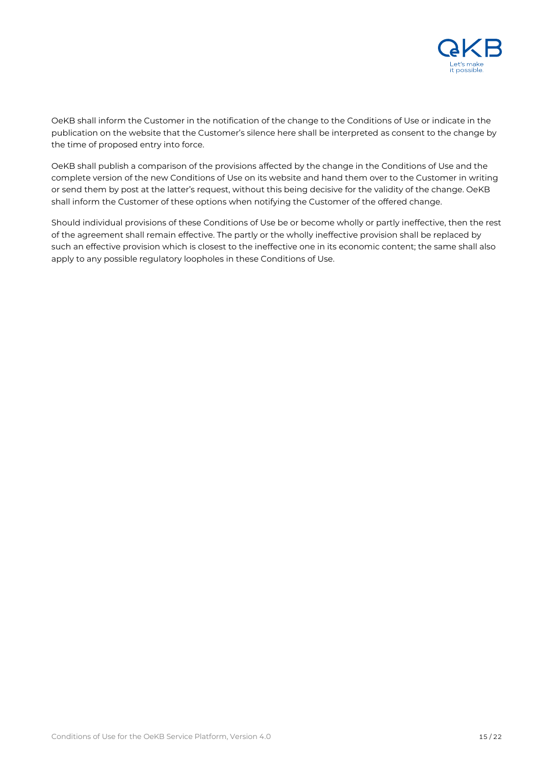

OeKB shall inform the Customer in the notification of the change to the Conditions of Use or indicate in the publication on the website that the Customer's silence here shall be interpreted as consent to the change by the time of proposed entry into force.

OeKB shall publish a comparison of the provisions affected by the change in the Conditions of Use and the complete version of the new Conditions of Use on its website and hand them over to the Customer in writing or send them by post at the latter's request, without this being decisive for the validity of the change. OeKB shall inform the Customer of these options when notifying the Customer of the offered change.

Should individual provisions of these Conditions of Use be or become wholly or partly ineffective, then the rest of the agreement shall remain effective. The partly or the wholly ineffective provision shall be replaced by such an effective provision which is closest to the ineffective one in its economic content; the same shall also apply to any possible regulatory loopholes in these Conditions of Use.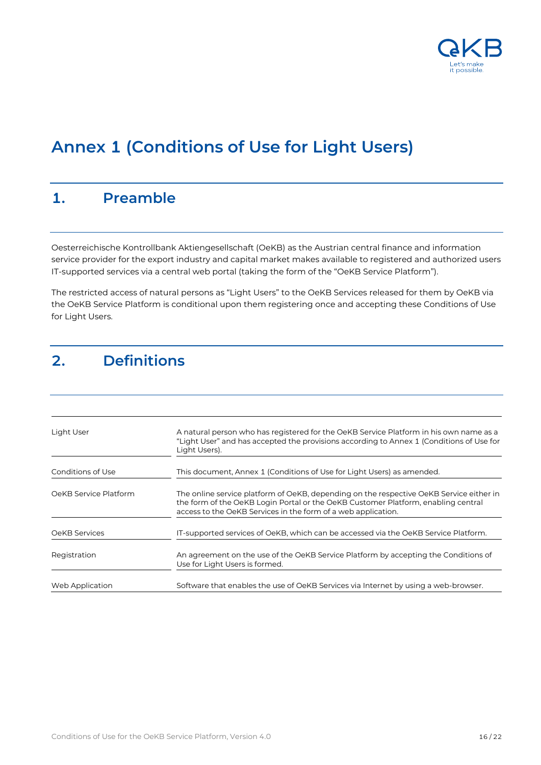

# **Annex 1 (Conditions of Use for Light Users)**

### <span id="page-15-0"></span>**1. Preamble**

Oesterreichische Kontrollbank Aktiengesellschaft (OeKB) as the Austrian central finance and information service provider for the export industry and capital market makes available to registered and authorized users IT-supported services via a central web portal (taking the form of the "OeKB Service Platform").

The restricted access of natural persons as "Light Users" to the OeKB Services released for them by OeKB via the OeKB Service Platform is conditional upon them registering once and accepting these Conditions of Use for Light Users.

# <span id="page-15-1"></span>**2. Definitions**

| Light User            | A natural person who has registered for the OeKB Service Platform in his own name as a<br>"Light User" and has accepted the provisions according to Annex 1 (Conditions of Use for<br>Light Users).                                           |
|-----------------------|-----------------------------------------------------------------------------------------------------------------------------------------------------------------------------------------------------------------------------------------------|
| Conditions of Use     | This document, Annex 1 (Conditions of Use for Light Users) as amended.                                                                                                                                                                        |
| OeKB Service Platform | The online service platform of OeKB, depending on the respective OeKB Service either in<br>the form of the OeKB Login Portal or the OeKB Customer Platform, enabling central<br>access to the OeKB Services in the form of a web application. |
| OeKB Services         | IT-supported services of OeKB, which can be accessed via the OeKB Service Platform.                                                                                                                                                           |
| Registration          | An agreement on the use of the OeKB Service Platform by accepting the Conditions of<br>Use for Light Users is formed.                                                                                                                         |
| Web Application       | Software that enables the use of OeKB Services via Internet by using a web-browser.                                                                                                                                                           |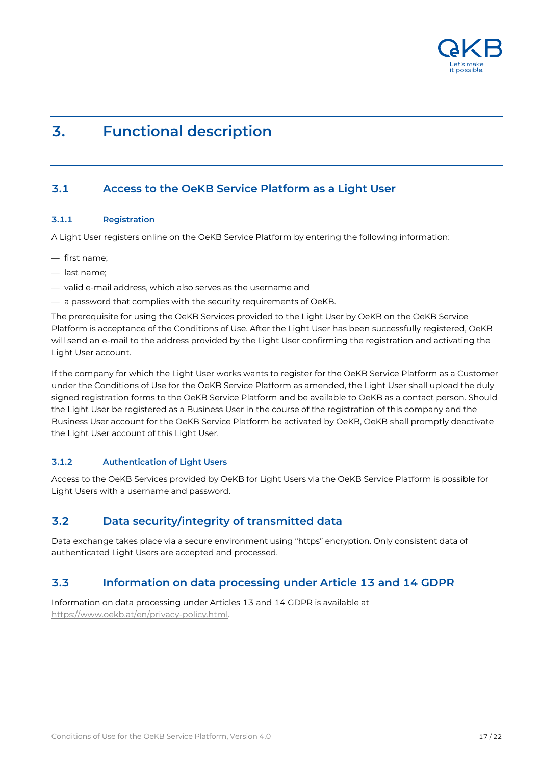

# <span id="page-16-0"></span>**3. Functional description**

### **3.1 Access to the OeKB Service Platform as a Light User**

#### **3.1.1 Registration**

A Light User registers online on the OeKB Service Platform by entering the following information:

- first name;
- last name;
- valid e-mail address, which also serves as the username and
- a password that complies with the security requirements of OeKB.

The prerequisite for using the OeKB Services provided to the Light User by OeKB on the OeKB Service Platform is acceptance of the Conditions of Use. After the Light User has been successfully registered, OeKB will send an e-mail to the address provided by the Light User confirming the registration and activating the Light User account.

If the company for which the Light User works wants to register for the OeKB Service Platform as a Customer under the Conditions of Use for the OeKB Service Platform as amended, the Light User shall upload the duly signed registration forms to the OeKB Service Platform and be available to OeKB as a contact person. Should the Light User be registered as a Business User in the course of the registration of this company and the Business User account for the OeKB Service Platform be activated by OeKB, OeKB shall promptly deactivate the Light User account of this Light User.

#### **3.1.2 Authentication of Light Users**

Access to the OeKB Services provided by OeKB for Light Users via the OeKB Service Platform is possible for Light Users with a username and password.

### **3.2 Data security/integrity of transmitted data**

Data exchange takes place via a secure environment using "https" encryption. Only consistent data of authenticated Light Users are accepted and processed.

### **3.3 Information on data processing under Article 13 and 14 GDPR**

Information on data processing under Articles 13 and 14 GDPR is available at [https://www.oekb.at/en/privacy-policy.html.](https://www.oekb.at/en/privacy-policy.html)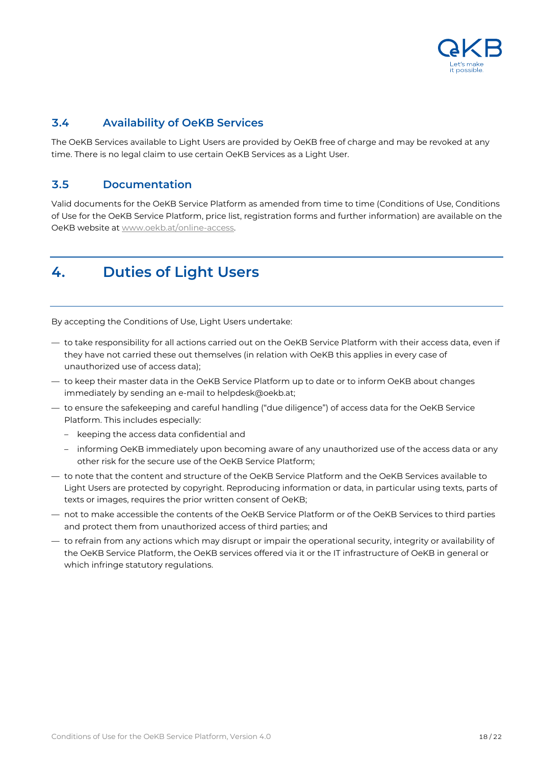

### **3.4 Availability of OeKB Services**

The OeKB Services available to Light Users are provided by OeKB free of charge and may be revoked at any time. There is no legal claim to use certain OeKB Services as a Light User.

### **3.5 Documentation**

Valid documents for the OeKB Service Platform as amended from time to time (Conditions of Use, Conditions of Use for the OeKB Service Platform, price list, registration forms and further information) are available on the OeKB website at [www.oekb.at/online-access.](http://www.oekb.at/online-access)

# <span id="page-17-0"></span>**4. Duties of Light Users**

By accepting the Conditions of Use, Light Users undertake:

- to take responsibility for all actions carried out on the OeKB Service Platform with their access data, even if they have not carried these out themselves (in relation with OeKB this applies in every case of unauthorized use of access data);
- to keep their master data in the OeKB Service Platform up to date or to inform OeKB about changes immediately by sending an e-mail to helpdesk@oekb.at;
- to ensure the safekeeping and careful handling ("due diligence") of access data for the OeKB Service Platform. This includes especially:
	- keeping the access data confidential and
	- informing OeKB immediately upon becoming aware of any unauthorized use of the access data or any other risk for the secure use of the OeKB Service Platform;
- to note that the content and structure of the OeKB Service Platform and the OeKB Services available to Light Users are protected by copyright. Reproducing information or data, in particular using texts, parts of texts or images, requires the prior written consent of OeKB;
- not to make accessible the contents of the OeKB Service Platform or of the OeKB Services to third parties and protect them from unauthorized access of third parties; and
- to refrain from any actions which may disrupt or impair the operational security, integrity or availability of the OeKB Service Platform, the OeKB services offered via it or the IT infrastructure of OeKB in general or which infringe statutory regulations.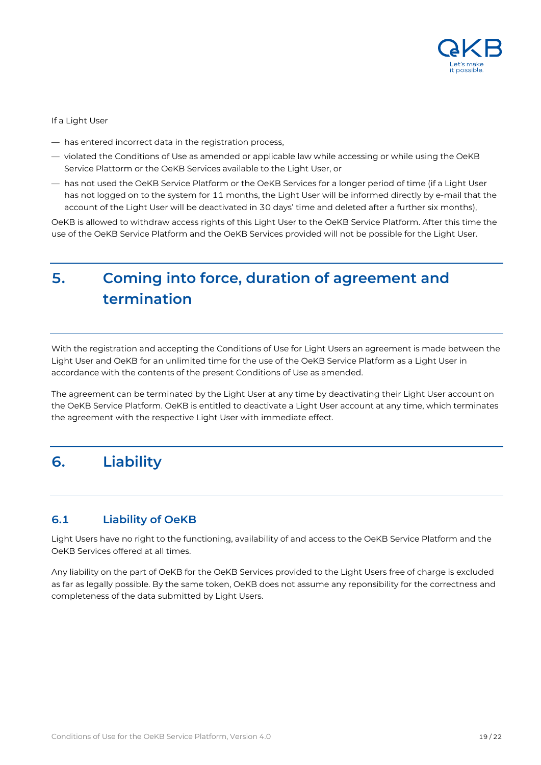

#### If a Light User

- has entered incorrect data in the registration process,
- violated the Conditions of Use as amended or applicable law while accessing or while using the OeKB Service Plattorm or the OeKB Services available to the Light User, or
- has not used the OeKB Service Platform or the OeKB Services for a longer period of time (if a Light User has not logged on to the system for 11 months, the Light User will be informed directly by e-mail that the account of the Light User will be deactivated in 30 days' time and deleted after a further six months),

OeKB is allowed to withdraw access rights of this Light User to the OeKB Service Platform. After this time the use of the OeKB Service Platform and the OeKB Services provided will not be possible for the Light User.

# <span id="page-18-0"></span>**5. Coming into force, duration of agreement and termination**

With the registration and accepting the Conditions of Use for Light Users an agreement is made between the Light User and OeKB for an unlimited time for the use of the OeKB Service Platform as a Light User in accordance with the contents of the present Conditions of Use as amended.

The agreement can be terminated by the Light User at any time by deactivating their Light User account on the OeKB Service Platform. OeKB is entitled to deactivate a Light User account at any time, which terminates the agreement with the respective Light User with immediate effect.

# <span id="page-18-1"></span>**6. Liability**

### **6.1 Liability of OeKB**

Light Users have no right to the functioning, availability of and access to the OeKB Service Platform and the OeKB Services offered at all times.

Any liability on the part of OeKB for the OeKB Services provided to the Light Users free of charge is excluded as far as legally possible. By the same token, OeKB does not assume any reponsibility for the correctness and completeness of the data submitted by Light Users.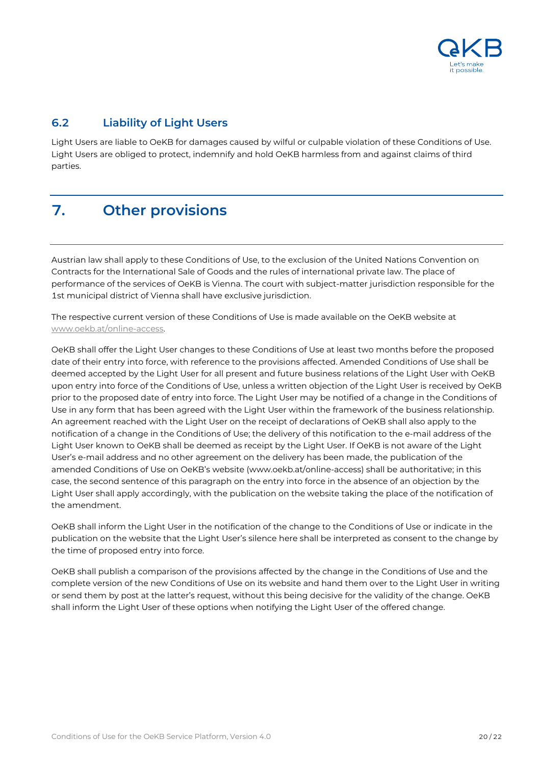

### **6.2 Liability of Light Users**

Light Users are liable to OeKB for damages caused by wilful or culpable violation of these Conditions of Use. Light Users are obliged to protect, indemnify and hold OeKB harmless from and against claims of third parties.

# <span id="page-19-0"></span>**7. Other provisions**

Austrian law shall apply to these Conditions of Use, to the exclusion of the United Nations Convention on Contracts for the International Sale of Goods and the rules of international private law. The place of performance of the services of OeKB is Vienna. The court with subject-matter jurisdiction responsible for the 1st municipal district of Vienna shall have exclusive jurisdiction.

The respective current version of these Conditions of Use is made available on the OeKB website at [www.oekb.at/online-access.](http://www.oekb.at/online-access)

OeKB shall offer the Light User changes to these Conditions of Use at least two months before the proposed date of their entry into force, with reference to the provisions affected. Amended Conditions of Use shall be deemed accepted by the Light User for all present and future business relations of the Light User with OeKB upon entry into force of the Conditions of Use, unless a written objection of the Light User is received by OeKB prior to the proposed date of entry into force. The Light User may be notified of a change in the Conditions of Use in any form that has been agreed with the Light User within the framework of the business relationship. An agreement reached with the Light User on the receipt of declarations of OeKB shall also apply to the notification of a change in the Conditions of Use; the delivery of this notification to the e-mail address of the Light User known to OeKB shall be deemed as receipt by the Light User. If OeKB is not aware of the Light User's e-mail address and no other agreement on the delivery has been made, the publication of the amended Conditions of Use on OeKB's website (www.oekb.at/online-access) shall be authoritative; in this case, the second sentence of this paragraph on the entry into force in the absence of an objection by the Light User shall apply accordingly, with the publication on the website taking the place of the notification of the amendment.

OeKB shall inform the Light User in the notification of the change to the Conditions of Use or indicate in the publication on the website that the Light User's silence here shall be interpreted as consent to the change by the time of proposed entry into force.

OeKB shall publish a comparison of the provisions affected by the change in the Conditions of Use and the complete version of the new Conditions of Use on its website and hand them over to the Light User in writing or send them by post at the latter's request, without this being decisive for the validity of the change. OeKB shall inform the Light User of these options when notifying the Light User of the offered change.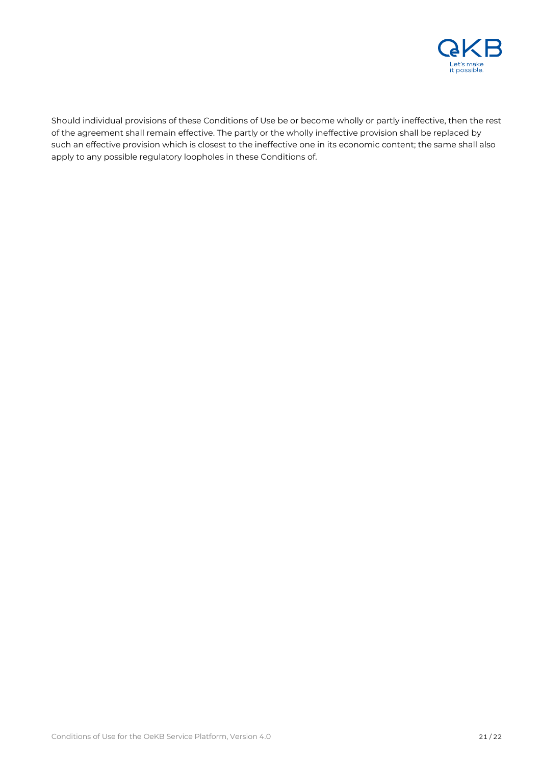

Should individual provisions of these Conditions of Use be or become wholly or partly ineffective, then the rest of the agreement shall remain effective. The partly or the wholly ineffective provision shall be replaced by such an effective provision which is closest to the ineffective one in its economic content; the same shall also apply to any possible regulatory loopholes in these Conditions of.